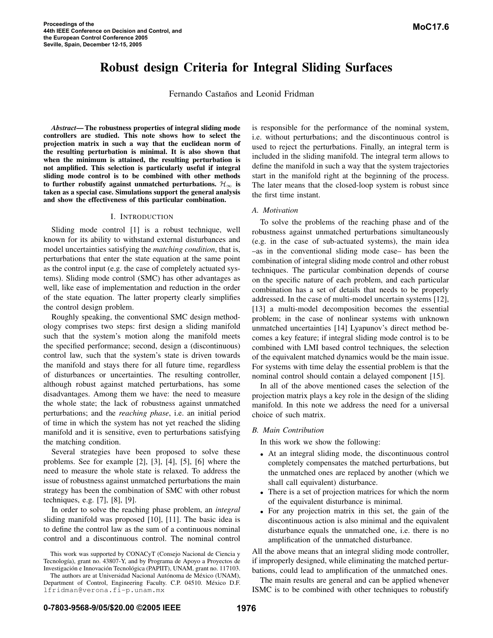# **Robust design Criteria for Integral Sliding Surfaces**

Fernando Castaños and Leonid Fridman

*Abstract***— The robustness properties of integral sliding mode controllers are studied. This note shows how to select the projection matrix in such a way that the euclidean norm of the resulting perturbation is minimal. It is also shown that when the minimum is attained, the resulting perturbation is not amplified. This selection is particularly useful if integral sliding mode control is to be combined with other methods** to further robustify against unmatched perturbations.  $\mathcal{H}_{\infty}$  is **taken as a special case. Simulations support the general analysis and show the effectiveness of this particular combination.**

## I. INTRODUCTION

Sliding mode control [1] is a robust technique, well known for its ability to withstand external disturbances and model uncertainties satisfying the *matching condition*, that is, perturbations that enter the state equation at the same point as the control input (e.g. the case of completely actuated systems). Sliding mode control (SMC) has other advantages as well, like ease of implementation and reduction in the order of the state equation. The latter property clearly simplifies the control design problem.

Roughly speaking, the conventional SMC design methodology comprises two steps: first design a sliding manifold such that the system's motion along the manifold meets the specified performance; second, design a (discontinuous) control law, such that the system's state is driven towards the manifold and stays there for all future time, regardless of disturbances or uncertainties. The resulting controller, although robust against matched perturbations, has some disadvantages. Among them we have: the need to measure the whole state; the lack of robustness against unmatched perturbations; and the *reaching phase*, i.e. an initial period of time in which the system has not yet reached the sliding manifold and it is sensitive, even to perturbations satisfying the matching condition.

Several strategies have been proposed to solve these problems. See for example [2], [3], [4], [5], [6] where the need to measure the whole state is relaxed. To address the issue of robustness against unmatched perturbations the main strategy has been the combination of SMC with other robust techniques, e.g. [7], [8], [9].

In order to solve the reaching phase problem, an *integral* sliding manifold was proposed [10], [11]. The basic idea is to define the control law as the sum of a continuous nominal control and a discontinuous control. The nominal control is responsible for the performance of the nominal system, i.e. without perturbations; and the discontinuous control is used to reject the perturbations. Finally, an integral term is included in the sliding manifold. The integral term allows to define the manifold in such a way that the system trajectories start in the manifold right at the beginning of the process. The later means that the closed-loop system is robust since the first time instant.

## *A. Motivation*

To solve the problems of the reaching phase and of the robustness against unmatched perturbations simultaneously (e.g. in the case of sub-actuated systems), the main idea –as in the conventional sliding mode case– has been the combination of integral sliding mode control and other robust techniques. The particular combination depends of course on the specific nature of each problem, and each particular combination has a set of details that needs to be properly addressed. In the case of multi-model uncertain systems [12], [13] a multi-model decomposition becomes the essential problem; in the case of nonlinear systems with unknown unmatched uncertainties [14] Lyapunov's direct method becomes a key feature; if integral sliding mode control is to be combined with LMI based control techniques, the selection of the equivalent matched dynamics would be the main issue. For systems with time delay the essential problem is that the nominal control should contain a delayed component [15].

In all of the above mentioned cases the selection of the projection matrix plays a key role in the design of the sliding manifold. In this note we address the need for a universal choice of such matrix.

# *B. Main Contribution*

In this work we show the following:

- At an integral sliding mode, the discontinuous control completely compensates the matched perturbations, but the unmatched ones are replaced by another (which we shall call equivalent) disturbance.
- There is a set of projection matrices for which the norm of the equivalent disturbance is minimal.
- For any projection matrix in this set, the gain of the discontinuous action is also minimal and the equivalent disturbance equals the unmatched one, i.e. there is no amplification of the unmatched disturbance.

All the above means that an integral sliding mode controller, if improperly designed, while eliminating the matched perturbations, could lead to amplification of the unmatched ones.

The main results are general and can be applied whenever ISMC is to be combined with other techniques to robustify

This work was supported by CONACyT (Consejo Nacional de Ciencia y Tecnología), grant no. 43807-Y, and by Programa de Apoyo a Proyectos de Investigación e Innovación Tecnológica (PAPIIT), UNAM, grant no. 117103.

The authors are at Universidad Nacional Autónoma de México (UNAM), Department of Control, Engineering Faculty. C.P. 04510. México D.F. lfridman@verona.fi-p.unam.mx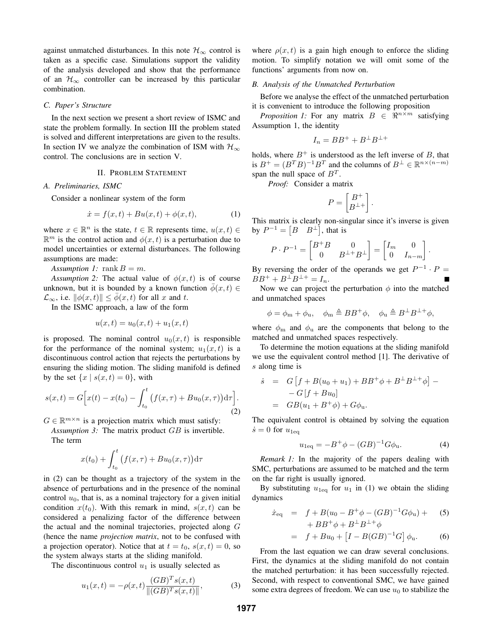against unmatched disturbances. In this note  $\mathcal{H}_{\infty}$  control is taken as a specific case. Simulations support the validity of the analysis developed and show that the performance of an  $H_{\infty}$  controller can be increased by this particular combination.

## *C. Paper's Structure*

In the next section we present a short review of ISMC and state the problem formally. In section III the problem stated is solved and different interpretations are given to the results. In section IV we analyze the combination of ISM with  $\mathcal{H}_{\infty}$ control. The conclusions are in section V.

## II. PROBLEM STATEMENT

## *A. Preliminaries, ISMC*

Consider a nonlinear system of the form

$$
\dot{x} = f(x, t) + Bu(x, t) + \phi(x, t),
$$
 (1)

where  $x \in \mathbb{R}^n$  is the state,  $t \in \mathbb{R}$  represents time,  $u(x, t) \in$  $\mathbb{R}^m$  is the control action and  $\phi(x, t)$  is a perturbation due to model uncertainties or external disturbances. The following assumptions are made:

*Assumption 1:* rank  $B = m$ .

*Assumption 2:* The actual value of  $\phi(x, t)$  is of course unknown, but it is bounded by a known function  $\overline{\phi}(x, t) \in$  $\mathcal{L}_{\infty}$ , i.e.  $\|\phi(x,t)\| \leq \bar{\phi}(x,t)$  for all x and t.

In the ISMC approach, a law of the form

$$
u(x,t) = u_0(x,t) + u_1(x,t)
$$

is proposed. The nominal control  $u_0(x, t)$  is responsible for the performance of the nominal system;  $u_1(x, t)$  is a discontinuous control action that rejects the perturbations by ensuring the sliding motion. The sliding manifold is defined by the set  $\{x \mid s(x,t)=0\}$ , with

$$
s(x,t) = G\Big[x(t) - x(t_0) - \int_{t_0}^t \big(f(x,\tau) + Bu_0(x,\tau)\big) d\tau\Big].
$$
\n(2)

 $G \in \mathbb{R}^{m \times n}$  is a projection matrix which must satisfy:

*Assumption 3:* The matrix product GB is invertible. The term

$$
x(t_0) + \int_{t_0}^t \left( f(x,\tau) + Bu_0(x,\tau) \right) d\tau
$$

in (2) can be thought as a trajectory of the system in the absence of perturbations and in the presence of the nominal control  $u_0$ , that is, as a nominal trajectory for a given initial condition  $x(t_0)$ . With this remark in mind,  $s(x, t)$  can be considered a penalizing factor of the difference between the actual and the nominal trajectories, projected along G (hence the name *projection matrix*, not to be confused with a projection operator). Notice that at  $t = t_0$ ,  $s(x, t) = 0$ , so the system always starts at the sliding manifold.

The discontinuous control  $u_1$  is usually selected as

$$
u_1(x,t) = -\rho(x,t) \frac{(GB)^T s(x,t)}{\|(GB)^T s(x,t)\|},
$$
\n(3)

where  $\rho(x, t)$  is a gain high enough to enforce the sliding motion. To simplify notation we will omit some of the functions' arguments from now on.

# *B. Analysis of the Unmatched Perturbation*

Before we analyse the effect of the unmatched perturbation it is convenient to introduce the following proposition

*Proposition 1:* For any matrix  $B \in \mathbb{R}^{n \times m}$  satisfying Assumption 1, the identity

$$
I_n = BB^+ + B^\perp B^{\perp +}
$$

holds, where  $B^+$  is understood as the left inverse of B, that is  $B^+ = (B^T B)^{-1} B^T$  and the columns of  $B^{\perp} \in \mathbb{R}^{n \times (n-m)}$ span the null space of  $B<sup>T</sup>$ .

*Proof:* Consider a matrix

$$
P = \begin{bmatrix} B^+ \\ B^{\perp +} \end{bmatrix}.
$$

This matrix is clearly non-singular since it's inverse is given by  $P^{-1} = \begin{bmatrix} B & B^{\perp} \end{bmatrix}$ , that is

$$
P \cdot P^{-1} = \begin{bmatrix} B^+ B & 0 \\ 0 & B^{\perp +} B^{\perp} \end{bmatrix} = \begin{bmatrix} I_m & 0 \\ 0 & I_{n-m} \end{bmatrix}.
$$

By reversing the order of the operands we get  $P^{-1} \cdot P =$  $BB^+ + B^{\perp}B^{\perp +} = I_n.$ 

Now we can project the perturbation  $\phi$  into the matched and unmatched spaces

$$
\phi=\phi_{\mathrm{m}}+\phi_{\mathrm{u}},\quad \phi_{\mathrm{m}}\triangleq B B^+\phi,\quad \phi_{\mathrm{u}}\triangleq B^{\perp} B^{\perp+}\phi,
$$

where  $\phi_{\rm m}$  and  $\phi_{\rm u}$  are the components that belong to the matched and unmatched spaces respectively.

To determine the motion equations at the sliding manifold we use the equivalent control method [1]. The derivative of s along time is

$$
\dot{s} = G \left[ f + B(u_0 + u_1) + BB^+ \phi + B^\perp B^{\perp +} \phi \right] -
$$
  

$$
- G \left[ f + Bu_0 \right]
$$
  

$$
= GB(u_1 + B^+ \phi) + G\phi_u.
$$

The equivalent control is obtained by solving the equation  $\dot{s}=0$  for  $u_{1\text{eq}}$ 

$$
u_{1\text{eq}} = -B^{+}\phi - (GB)^{-1}G\phi_{\text{u}}.\tag{4}
$$

*Remark 1:* In the majority of the papers dealing with SMC, perturbations are assumed to be matched and the term on the far right is usually ignored.

By substituting  $u_{1\text{eq}}$  for  $u_1$  in (1) we obtain the sliding dynamics

$$
\dot{x}_{\text{eq}} = f + B(u_0 - B^+ \phi - (GB)^{-1} G \phi_u) + B B^+ \phi + B^{\perp} B^{\perp +} \phi
$$
\n(5)

$$
= f + Bu_0 + [I - B(GB)^{-1}G] \phi_u.
$$
 (6)

From the last equation we can draw several conclusions. First, the dynamics at the sliding manifold do not contain the matched perturbation: it has been successfully rejected. Second, with respect to conventional SMC, we have gained some extra degrees of freedom. We can use  $u_0$  to stabilize the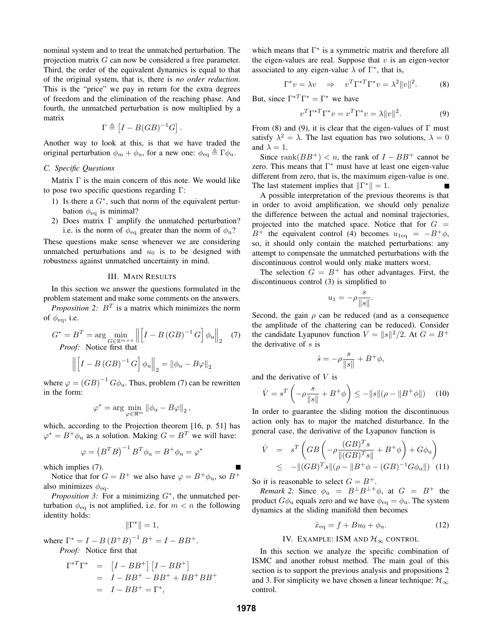nominal system and to treat the unmatched perturbation. The projection matrix G can now be considered a free parameter. Third, the order of the equivalent dynamics is equal to that of the original system, that is, there is *no order reduction*. This is the "price" we pay in return for the extra degrees of freedom and the elimination of the reaching phase. And fourth, the unmatched perturbation is now multiplied by a matrix

$$
\Gamma \triangleq [I - B(GB)^{-1}G]
$$

.

Another way to look at this, is that we have traded the original perturbation  $\phi_{\rm m} + \phi_{\rm u}$ , for a new one:  $\phi_{\rm eq} \triangleq \Gamma \phi_{\rm u}$ .

# *C. Specific Questions*

Matrix  $\Gamma$  is the main concern of this note. We would like to pose two specific questions regarding Γ:

- 1) Is there a  $G^*$ , such that norm of the equivalent perturbation  $\phi_{\text{eq}}$  is minimal?
- 2) Does matrix Γ amplify the unmatched perturbation? i.e. is the norm of  $\phi_{eq}$  greater than the norm of  $\phi_u$ ?

These questions make sense whenever we are considering unmatched perturbations and  $u_0$  is to be designed with robustness against unmatched uncertainty in mind.

#### III. MAIN RESULTS

In this section we answer the questions formulated in the problem statement and make some comments on the answers.

*Proposition 2:*  $B<sup>T</sup>$  is a matrix which minimizes the norm of  $\phi_{\text{eq}}$ , i.e.

$$
G^* = B^T = \arg\min_{G \in \mathbb{R}^{m \times n}} \left\| \left[ I - B \left( GB \right)^{-1} G \right] \phi_u \right\|_2 \quad (7)
$$
  
*Proof:* Notice first that

$$
\left\| \left[ I - B \left( GB \right)^{-1} G \right] \phi_{\mathbf{u}} \right\|_2 = \left\| \phi_{\mathbf{u}} - B \varphi \right\|_2
$$

where  $\varphi = (GB)^{-1} G \phi_u$ . Thus, problem (7) can be rewritten in the form:

$$
\varphi^* = \arg \min_{\varphi \in \Re^m} \left\| \phi_u - B\varphi \right\|_2,
$$

which, according to the Projection theorem [16, p. 51] has  $\varphi^* = B^+ \phi_{\mathfrak{u}}$  as a solution. Making  $G = B^T$  we will have:

$$
\varphi = (B^T B)^{-1} B^T \phi_{\mathbf{u}} = B^+ \phi_{\mathbf{u}} = \varphi^*
$$

which implies (7).

Notice that for  $G = B^+$  we also have  $\varphi = B^+ \phi_u$ , so  $B^+$ also minimizes  $\phi_{\text{eq}}$ .

*Proposition 3:* For a minimizing  $G^*$ , the unmatched perturbation  $\phi_{\text{eq}}$  is not amplified, i.e. for  $m < n$  the following identity holds:

$$
\|\Gamma^*\|=1,
$$

where  $\Gamma^* = I - B (B^+ B)^{-1} B^+ = I - BB^+.$ *Proof:* Notice first that

$$
\Gamma^{*T}\Gamma^{*} = [I - BB^{+}] [I - BB^{+}]
$$
  
= I - BB^{+} - BB^{+} + BB^{+}BB^{+}  
= I - BB^{+} = \Gamma^{\*},

which means that  $\Gamma^*$  is a symmetric matrix and therefore all the eigen-values are real. Suppose that  $v$  is an eigen-vector associated to any eigen-value  $\lambda$  of  $\Gamma^*$ , that is,

$$
\Gamma^* v = \lambda v \quad \Rightarrow \quad v^T \Gamma^{*T} \Gamma^* v = \lambda^2 ||v||^2. \tag{8}
$$

But, since  $\Gamma^{*T}\Gamma^{*} = \Gamma^{*}$  we have

$$
v^T \Gamma^{*T} \Gamma^* v = v^T \Gamma^* v = \lambda ||v||^2.
$$
 (9)

From (8) and (9), it is clear that the eigen-values of  $\Gamma$  must satisfy  $\lambda^2 = \lambda$ . The last equation has two solutions,  $\lambda = 0$ and  $\lambda = 1$ .

Since rank $(BB^+) < n$ , the rank of  $I - BB^+$  cannot be zero. This means that  $\Gamma^*$  must have at least one eigen-value different from zero, that is, the maximum eigen-value is one. The last statement implies that  $\|\Gamma^*\| = 1$ .

A possible interpretation of the previous theorems is that in order to avoid amplification, we should only penalize the difference between the actual and nominal trajectories, projected into the matched space. Notice that for  $G =$ B<sup>+</sup> the equivalent control (4) becomes  $u_{1eq} = -B^+\phi$ , so, it should only contain the matched perturbations: any attempt to compensate the unmatched perturbations with the discontinuous control would only make matters worst.

The selection  $G = B^+$  has other advantages. First, the discontinuous control (3) is simplified to

$$
u_1 = -\rho \frac{s}{\|s\|}.
$$

Second, the gain  $\rho$  can be reduced (and as a consequence the amplitude of the chattering can be reduced). Consider the candidate Lyapunov function  $V = ||s||^2/2$ . At  $G = B^+$ the derivative of  $s$  is

$$
\dot{s} = -\rho \frac{s}{\|s\|} + B^+ \phi,
$$

and the derivative of  $V$  is

$$
\dot{V} = s^T \left( -\rho \frac{s}{\|s\|} + B^+ \phi \right) \le -\|s\| (\rho - \|B^+ \phi\|) \tag{10}
$$

In order to guarantee the sliding motion the discontinuous action only has to major the matched disturbance. In the general case, the derivative of the Lyapunov function is

$$
\dot{V} = s^T \left( GB \left( -\rho \frac{(GB)^T s}{\|(GB)^T s\|} + B^+ \phi \right) + G \phi_u \right) \leq -\|(GB)^T s\| (\rho - \|B^+ \phi - (GB)^{-1} G \phi_u \|) \tag{11}
$$

So it is reasonable to select  $G = B^{+}$ .

*Remark 2:* Since  $\phi_u = B^{\perp}B^{\perp} + \phi$ , at  $G = B^+$  the product  $G\phi_u$  equals zero and we have  $\phi_{\text{eq}} = \phi_u$ . The system dynamics at the sliding manifold then becomes

$$
\dot{x}_{\text{eq}} = f + Bu_0 + \phi_{\text{u}}.\tag{12}
$$

## IV. EXAMPLE: ISM AND  $\mathcal{H}_{\infty}$  control

In this section we analyze the specific combination of ISMC and another robust method. The main goal of this section is to support the previous analysis and propositions 2 and 3. For simplicity we have chosen a linear technique:  $\mathcal{H}_{\infty}$ control.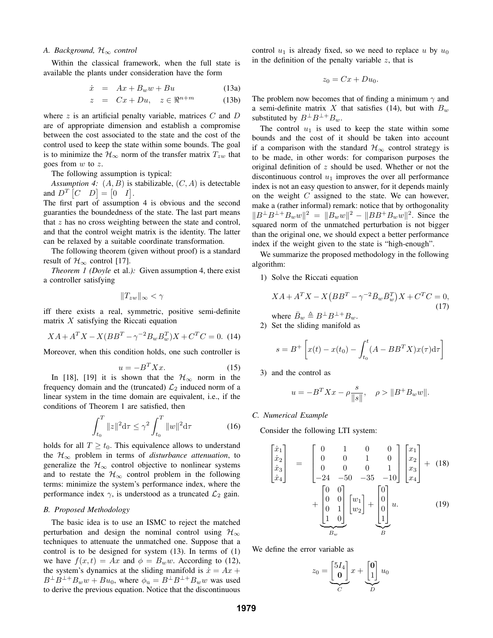## *A. Background,* H<sup>∞</sup> *control*

Within the classical framework, when the full state is available the plants under consideration have the form

$$
\dot{x} = Ax + B_w w + Bu \tag{13a}
$$

$$
z = Cx + Du, \quad z \in \mathbb{R}^{n+m} \tag{13b}
$$

where  $z$  is an artificial penalty variable, matrices  $C$  and  $D$ are of appropriate dimension and establish a compromise between the cost associated to the state and the cost of the control used to keep the state within some bounds. The goal is to minimize the  $\mathcal{H}_{\infty}$  norm of the transfer matrix  $T_{zw}$  that goes from  $w$  to  $z$ .

The following assumption is typical:

*Assumption 4:*  $(A, B)$  is stabilizable,  $(C, A)$  is detectable and  $D^T[C \quad D] = [0 \quad I].$ 

The first part of assumption 4 is obvious and the second guaranties the boundedness of the state. The last part means that z has no cross weighting between the state and control, and that the control weight matrix is the identity. The latter can be relaxed by a suitable coordinate transformation.

The following theorem (given without proof) is a standard result of  $\mathcal{H}_{\infty}$  control [17].

*Theorem 1 (Doyle* et al.*):* Given assumption 4, there exist a controller satisfying

$$
||T_{zw}||_{\infty} < \gamma
$$

iff there exists a real, symmetric, positive semi-definite matrix  $X$  satisfying the Riccati equation

$$
XA + A^T X - X(BB^T - \gamma^{-2} B_w B_w^T)X + C^T C = 0.
$$
 (14)

Moreover, when this condition holds, one such controller is

$$
u = -B^T X x. \tag{15}
$$

In [18], [19] it is shown that the  $\mathcal{H}_{\infty}$  norm in the frequency domain and the (truncated)  $\mathcal{L}_2$  induced norm of a linear system in the time domain are equivalent, i.e., if the conditions of Theorem 1 are satisfied, then

$$
\int_{t_0}^{T} \|z\|^2 \mathrm{d}\tau \le \gamma^2 \int_{t_0}^{T} \|w\|^2 \mathrm{d}\tau \tag{16}
$$

holds for all  $T \geq t_0$ . This equivalence allows to understand the  $H_{\infty}$  problem in terms of *disturbance attenuation*, to generalize the  $\mathcal{H}_{\infty}$  control objective to nonlinear systems and to restate the  $\mathcal{H}_{\infty}$  control problem in the following terms: minimize the system's performance index, where the performance index  $\gamma$ , is understood as a truncated  $\mathcal{L}_2$  gain.

## *B. Proposed Methodology*

The basic idea is to use an ISMC to reject the matched perturbation and design the nominal control using  $\mathcal{H}_{\infty}$ techniques to attenuate the unmatched one. Suppose that a control is to be designed for system (13). In terms of (1) we have  $f(x, t) = Ax$  and  $\phi = B_w w$ . According to (12), the system's dynamics at the sliding manifold is  $\dot{x} = Ax +$  $B^{\perp}B^{\perp}+B_ww + Bu_0$ , where  $\phi_u = B^{\perp}B^{\perp}+B_ww$  was used to derive the previous equation. Notice that the discontinuous

control  $u_1$  is already fixed, so we need to replace u by  $u_0$ in the definition of the penalty variable  $z$ , that is

$$
z_0 = Cx + Du_0.
$$

The problem now becomes that of finding a minimum  $\gamma$  and a semi-definite matrix X that satisfies (14), but with  $B_w$ substituted by  $B^{\perp}B^{\perp}+B_w$ .

The control  $u_1$  is used to keep the state within some bounds and the cost of it should be taken into account if a comparison with the standard  $\mathcal{H}_{\infty}$  control strategy is to be made, in other words: for comparison purposes the original definition of z should be used. Whether or not the discontinuous control  $u_1$  improves the over all performance index is not an easy question to answer, for it depends mainly on the weight  $C$  assigned to the state. We can however, make a (rather informal) remark: notice that by orthogonality  $||B^{\perp}B^{\perp+}B_w w||^2 = ||B_w w||^2 - ||BB^{\dagger}B_w w||^2$ . Since the squared norm of the unmatched perturbation is not bigger than the original one, we should expect a better performance index if the weight given to the state is "high-enough".

We summarize the proposed methodology in the following algorithm:

1) Solve the Riccati equation

$$
XA + ATX - X\left(BBT - \gamma^{-2}\bar{B}_w\bar{B}_w^T\right)X + CTC = 0,
$$
\n(17)

where  $\bar{B}_w \triangleq B^{\perp}B^{\perp+}B_w$ .

2) Set the sliding manifold as

$$
s = B^+ \left[ x(t) - x(t_0) - \int_{t_0}^t (A - BB^T X) x(\tau) d\tau \right]
$$

3) and the control as

$$
u = -B^T X x - \rho \frac{s}{\|s\|}, \quad \rho > \|B^+ B_w w\|.
$$

*C. Numerical Example*

Consider the following LTI system:

$$
\begin{bmatrix} \dot{x}_1 \\ \dot{x}_2 \\ \dot{x}_3 \\ \dot{x}_4 \end{bmatrix} = \begin{bmatrix} 0 & 1 & 0 & 0 \\ 0 & 0 & 1 & 0 \\ 0 & 0 & 0 & 1 \\ -24 & -50 & -35 & -10 \end{bmatrix} \begin{bmatrix} x_1 \\ x_2 \\ x_3 \\ x_4 \end{bmatrix} + (18) + \begin{bmatrix} 0 & 0 \\ 0 & 0 \\ 0 & 1 \\ 1 & 0 \end{bmatrix} \begin{bmatrix} w_1 \\ w_2 \end{bmatrix} + \begin{bmatrix} 0 \\ 0 \\ 0 \\ 1 \end{bmatrix} u.
$$
 (19)

We define the error variable as

$$
z_0 = \underbrace{\begin{bmatrix} 5I_4 \\ \mathbf{0} \end{bmatrix}}_{C} x + \underbrace{\begin{bmatrix} \mathbf{0} \\ 1 \end{bmatrix}}_{D} u_0
$$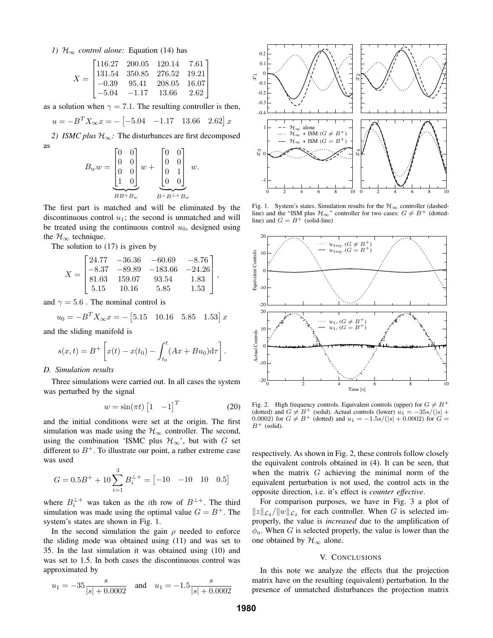*1)*  $H_{\infty}$  *control alone:* Equation (14) has

$$
X = \begin{bmatrix} 116.27 & 200.05 & 120.14 & 7.61 \\ 131.54 & 350.85 & 276.52 & 19.21 \\ -0.39 & 95.41 & 208.05 & 16.07 \\ -5.04 & -1.17 & 13.66 & 2.62 \end{bmatrix}
$$

as a solution when  $\gamma = 7.1$ . The resulting controller is then,

$$
u = -B^T X_{\infty} x = -[-5.04 \quad -1.17 \quad 13.66 \quad 2.62] x
$$

*2) ISMC plus*  $\mathcal{H}_{\infty}$ : The disturbances are first decomposed as

$$
B_w w = \underbrace{\begin{bmatrix} 0 & 0 \\ 0 & 0 \\ 0 & 0 \\ 1 & 0 \end{bmatrix}}_{BB+B_w} w + \underbrace{\begin{bmatrix} 0 & 0 \\ 0 & 0 \\ 0 & 1 \\ 0 & 0 \end{bmatrix}}_{B+B+B_w} w.
$$

The first part is matched and will be eliminated by the discontinuous control  $u_1$ ; the second is unmatched and will be treated using the continuous control  $u_0$ , designed using the  $\mathcal{H}_{\infty}$  technique.

The solution to (17) is given by

$$
X = \begin{bmatrix} 24.77 & -36.36 & -60.69 & -8.76 \\ -8.37 & -89.89 & -183.66 & -24.26 \\ 81.03 & 159.07 & 93.54 & 1.83 \\ 5.15 & 10.16 & 5.85 & 1.53 \end{bmatrix},
$$

and  $\gamma = 5.6$ . The nominal control is

$$
u_0 = -B^T X_\infty x = -\begin{bmatrix} 5.15 & 10.16 & 5.85 & 1.53 \end{bmatrix} x
$$

and the sliding manifold is

$$
s(x,t) = B^{+} \left[ x(t) - x(t_0) - \int_{t_0}^{t} (Ax + Bu_0) d\tau \right]
$$

## *D. Simulation results*

Three simulations were carried out. In all cases the system was perturbed by the signal

$$
w = \sin(\pi t) \begin{bmatrix} 1 & -1 \end{bmatrix}^T \tag{20}
$$

.

and the initial conditions were set at the origin. The first simulation was made using the  $\mathcal{H}_{\infty}$  controller. The second, using the combination 'ISMC plus  $\mathcal{H}_{\infty}$ ', but with G set different to  $B^+$ . To illustrate our point, a rather extreme case was used

$$
G = 0.5B^{+} + 10\sum_{i=1}^{3} B_{i}^{\perp +} = \begin{bmatrix} -10 & -10 & 10 & 0.5 \end{bmatrix}
$$

where  $B_i^{\perp +}$  was taken as the *i*th row of  $B^{\perp +}$ . The third simulation was made using the optimal value  $G = B^{+}$ . The system's states are shown in Fig. 1.

In the second simulation the gain  $\rho$  needed to enforce the sliding mode was obtained using (11) and was set to 35. In the last simulation it was obtained using (10) and was set to 1.5. In both cases the discontinuous control was approximated by

$$
u_1 = -35 \frac{s}{|s| + 0.0002}
$$
 and 
$$
u_1 = -1.5 \frac{s}{|s| + 0.0002}
$$



Fig. 1. System's states. Simulation results for the  $\mathcal{H}_{\infty}$  controller (dashedline) and the "ISM plus  $\mathcal{H}_{\infty}$ " controller for two cases:  $G \neq B^+$  (dottedline) and  $G = B<sup>+</sup>$  (solid-line)



Fig. 2. High frequency controls. Equivalent controls (upper) for  $G \neq B^{+}$ (dotted) and  $G \neq B^+$  (solid). Actual controls (lower)  $u_1 = -35s/(|s| +$ 0.0002) for  $G \neq B^+$  (dotted) and  $u_1 = -1.5s/(|s| + 0.0002)$  for  $G =$  $B^+$  (solid).

respectively. As shown in Fig. 2, these controls follow closely the equivalent controls obtained in (4). It can be seen, that when the matrix  $G$  achieving the minimal norm of the equivalent perturbation is not used, the control acts in the opposite direction, i.e. it's effect is *counter effective*.

For comparison purposes, we have in Fig. 3 a plot of  $||z||_{\mathcal{L}_2}/||w||_{\mathcal{L}_2}$  for each controller. When G is selected improperly, the value is *increased* due to the amplification of  $\phi$ <sub>u</sub>. When G is selected properly, the value is lower than the one obtained by  $\mathcal{H}_{\infty}$  alone.

## V. CONCLUSIONS

In this note we analyze the effects that the projection matrix have on the resulting (equivalent) perturbation. In the presence of unmatched disturbances the projection matrix